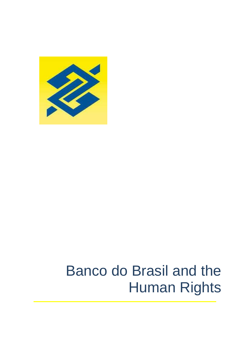

# Banco do Brasil and the Human Rights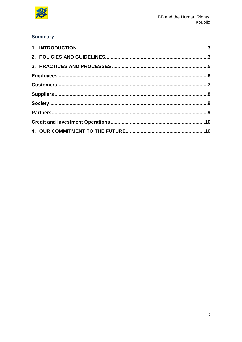

# **Summary**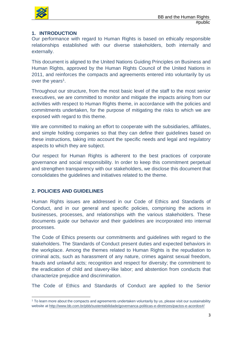

# **1. INTRODUCTION**

Our performance with regard to Human Rights is based on ethically responsible relationships established with our diverse stakeholders, both internally and externally.

This document is aligned to the United Nations Guiding Principles on Business and Human Rights, approved by the Human Rights Council of the United Nations in 2011, and reinforces the compacts and agreements entered into voluntarily by us over the years<sup>1</sup>.

Throughout our structure, from the most basic level of the staff to the most senior executives, we are committed to monitor and mitigate the impacts arising from our activities with respect to Human Rights theme, in accordance with the policies and commitments undertaken, for the purpose of mitigating the risks to which we are exposed with regard to this theme.

We are committed to making an effort to cooperate with the subsidiaries, affiliates, and simple holding companies so that they can define their guidelines based on these instructions, taking into account the specific needs and legal and regulatory aspects to which they are subject.

Our respect for Human Rights is adherent to the best practices of corporate governance and social responsibility. In order to keep this commitment perpetual and strengthen transparency with our stakeholders, we disclose this document that consolidates the guidelines and initiatives related to the theme.

## **2. POLICIES AND GUIDELINES**

Human Rights issues are addressed in our Code of Ethics and Standards of Conduct, and in our general and specific policies, comprising the actions in businesses, processes, and relationships with the various stakeholders. These documents guide our behavior and their guidelines are incorporated into internal processes.

The Code of Ethics presents our commitments and guidelines with regard to the stakeholders. The Standards of Conduct present duties and expected behaviors in the workplace. Among the themes related to Human Rights is the repudiation to criminal acts, such as harassment of any nature, crimes against sexual freedom, frauds and unlawful acts; recognition and respect for diversity; the commitment to the eradication of child and slavery-like labor; and abstention from conducts that characterize prejudice and discrimination.

The Code of Ethics and Standards of Conduct are applied to the Senior

 $\overline{\phantom{a}}$ <sup>1</sup> To learn more about the compacts and agreements undertaken voluntarily by us, please visit our sustainability website at [http://www.bb.com.br/pbb/sustentabilidade/governanca-politicas-e-diretrizes/pactos-e-acordos#/](http://www.bb.com.br/pbb/sustentabilidade/governanca-politicas-e-diretrizes/pactos-e-acordos%23/)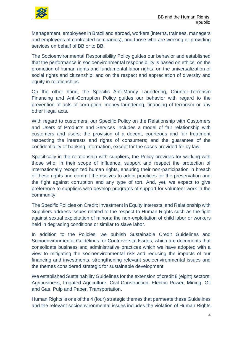

Management, employees in Brazil and abroad, workers (interns, trainees, managers and employees of contracted companies), and those who are working or providing services on behalf of BB or to BB.

The Socioenvironmental Responsibility Policy guides our behavior and established that the performance in socioenvironmental responsibility is based on ethics; on the promotion of human rights and fundamental labor rights; on the universalization of social rights and citizenship; and on the respect and appreciation of diversity and equity in relationships.

On the other hand, the Specific Anti-Money Laundering, Counter-Terrorism Financing and Anti-Corruption Policy guides our behavior with regard to the prevention of acts of corruption, money laundering, financing of terrorism or any other illegal acts.

With regard to customers, our Specific Policy on the Relationship with Customers and Users of Products and Services includes a model of fair relationship with customers and users; the provision of a decent, courteous and fair treatment respecting the interests and rights of consumers; and the guarantee of the confidentiality of banking information, except for the cases provided for by law.

Specifically in the relationship with suppliers, the Policy provides for working with those who, in their scope of influence, support and respect the protection of internationally recognized human rights, ensuring their non-participation in breach of these rights and commit themselves to adopt practices for the preservation and the fight against corruption and any type of tort. And, yet, we expect to give preference to suppliers who develop programs of support for volunteer work in the community.

The Specific Policies on Credit; Investment in Equity Interests; and Relationship with Suppliers address issues related to the respect to Human Rights such as the fight against sexual exploitation of minors; the non-exploitation of child labor or workers held in degrading conditions or similar to slave labor.

In addition to the Policies, we publish Sustainable Credit Guidelines and Socioenvironmental Guidelines for Controversial Issues, which are documents that consolidate business and administrative practices which we have adopted with a view to mitigating the socioenvironmental risk and reducing the impacts of our financing and investments, strengthening relevant socioenvironmental issues and the themes considered strategic for sustainable development.

We established Sustainability Guidelines for the extension of credit 8 (eight) sectors: Agribusiness, Irrigated Agriculture, Civil Construction, Electric Power, Mining, Oil and Gas, Pulp and Paper, Transportation.

Human Rights is one of the 4 (four) strategic themes that permeate these Guidelines and the relevant socioenvironmental issues includes the violation of Human Rights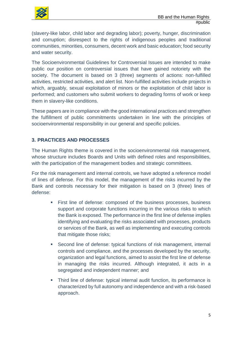

(slavery-like labor, child labor and degrading labor); poverty, hunger, discrimination and corruption; disrespect to the rights of indigenous peoples and traditional communities, minorities, consumers, decent work and basic education; food security and water security.

The Socioenvironmental Guidelines for Controversial Issues are intended to make public our position on controversial issues that have gained notoriety with the society. The document is based on 3 (three) segments of actions: non-fulfilled activities, restricted activities, and alert list. Non-fulfilled activities include projects in which, arguably, sexual exploitation of minors or the exploitation of child labor is performed; and customers who submit workers to degrading forms of work or keep them in slavery-like conditions.

These papers are in compliance with the good international practices and strengthen the fulfillment of public commitments undertaken in line with the principles of socioenvironmental responsibility in our general and specific policies.

# **3. PRACTICES AND PROCESSES**

The Human Rights theme is covered in the socioenvironmental risk management, whose structure includes Boards and Units with defined roles and responsibilities, with the participation of the management bodies and strategic committees.

For the risk management and internal controls, we have adopted a reference model of lines of defense. For this model, the management of the risks incurred by the Bank and controls necessary for their mitigation is based on 3 (three) lines of defense:

- First line of defense: composed of the business processes, business support and corporate functions incurring in the various risks to which the Bank is exposed. The performance in the first line of defense implies identifying and evaluating the risks associated with processes, products or services of the Bank, as well as implementing and executing controls that mitigate those risks;
- Second line of defense: typical functions of risk management, internal controls and compliance, and the processes developed by the security, organization and legal functions, aimed to assist the first line of defense in managing the risks incurred. Although integrated, it acts in a segregated and independent manner; and
- Third line of defense: typical internal audit function, its performance is characterized by full autonomy and independence and with a risk-based approach.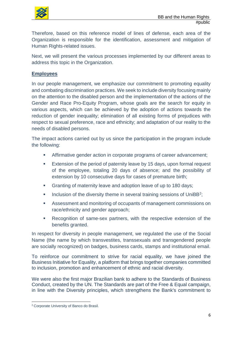

Therefore, based on this reference model of lines of defense, each area of the Organization is responsible for the identification, assessment and mitigation of Human Rights-related issues.

Next, we will present the various processes implemented by our different areas to address this topic in the Organization.

### **Employees**

In our people management, we emphasize our commitment to promoting equality and combating discrimination practices. We seek to include diversity focusing mainly on the attention to the disabled person and the implementation of the actions of the Gender and Race Pro-Equity Program, whose goals are the search for equity in various aspects, which can be achieved by the adoption of actions towards the reduction of gender inequality; elimination of all existing forms of prejudices with respect to sexual preference, race and ethnicity; and adaptation of our reality to the needs of disabled persons.

The impact actions carried out by us since the participation in the program include the following:

- Affirmative gender action in corporate programs of career advancement;
- **Extension of the period of paternity leave by 15 days, upon formal request** of the employee, totaling 20 days of absence; and the possibility of extension by 10 consecutive days for cases of premature birth;
- **Granting of maternity leave and adoption leave of up to 180 days;**
- $\blacksquare$  Inclusion of the diversity theme in several training sessions of UniBB<sup>2</sup>;
- Assessment and monitoring of occupants of management commissions on race/ethnicity and gender approach;
- Recognition of same-sex partners, with the respective extension of the benefits granted.

In respect for diversity in people management, we regulated the use of the Social Name (the name by which transvestites, transsexuals and transgendered people are socially recognized) on badges, business cards, stamps and institutional email.

To reinforce our commitment to strive for racial equality, we have joined the Business Initiative for Equality, a platform that brings together companies committed to inclusion, promotion and enhancement of ethnic and racial diversity.

We were also the first major Brazilian bank to adhere to the Standards of Business Conduct, created by the UN. The Standards are part of the Free & Equal campaign, in line with the Diversity principles, which strengthens the Bank's commitment to

 $\overline{\phantom{a}}$ 

<sup>2</sup> Corporate University of Banco do Brasil.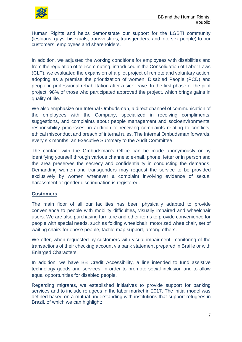

Human Rights and helps demonstrate our support for the LGBTI community (lesbians, gays, bisexuals, transvestites, transgenders, and intersex people) to our customers, employees and shareholders.

In addition, we adjusted the working conditions for employees with disabilities and from the regulation of telecommuting, introduced in the Consolidation of Labor Laws (CLT), we evaluated the expansion of a pilot project of remote and voluntary action, adopting as a premise the prioritization of women, Disabled People (PCD) and people in professional rehabilitation after a sick leave. In the first phase of the pilot project, 98% of those who participated approved the project, which brings gains in quality of life.

We also emphasize our Internal Ombudsman, a direct channel of communication of the employees with the Company, specialized in receiving compliments, suggestions, and complaints about people management and socioenvironmental responsibility processes, in addition to receiving complaints relating to conflicts, ethical misconduct and breach of internal rules. The Internal Ombudsman forwards, every six months, an Executive Summary to the Audit Committee.

The contact with the Ombudsman's Office can be made anonymously or by identifying yourself through various channels: e-mail, phone, letter or in person and the area preserves the secrecy and confidentiality in conducting the demands. Demanding women and transgenders may request the service to be provided exclusively by women whenever a complaint involving evidence of sexual harassment or gender discrimination is registered.

## **Customers**

The main floor of all our facilities has been physically adapted to provide convenience to people with mobility difficulties, visually impaired and wheelchair users. We are also purchasing furniture and other items to provide convenience for people with special needs, such as folding wheelchair, motorized wheelchair, set of waiting chairs for obese people, tactile map support, among others.

We offer, when requested by customers with visual impairment, monitoring of the transactions of their checking account via bank statement prepared in Braille or with Enlarged Characters.

In addition, we have BB Credit Accessibility, a line intended to fund assistive technology goods and services, in order to promote social inclusion and to allow equal opportunities for disabled people.

Regarding migrants, we established initiatives to provide support for banking services and to include refugees in the labor market in 2017. The initial model was defined based on a mutual understanding with institutions that support refugees in Brazil, of which we can highlight: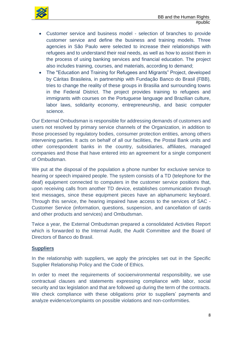

- Customer service and business model selection of branches to provide customer service and define the business and training models. Three agencies in São Paulo were selected to increase their relationships with refugees and to understand their real needs, as well as how to assist them in the process of using banking services and financial education. The project also includes training, courses, and materials, according to demand;
- The "Education and Training for Refugees and Migrants" Project, developed by Cáritas Brasileira, in partnership with Fundação Banco do Brasil (FBB), tries to change the reality of these groups in Brasilia and surrounding towns in the Federal District. The project provides training to refugees and immigrants with courses on the Portuguese language and Brazilian culture, labor laws, solidarity economy, entrepreneurship, and basic computer science.

Our External Ombudsman is responsible for addressing demands of customers and users not resolved by primary service channels of the Organization, in addition to those processed by regulatory bodies, consumer protection entities, among others intervening parties. It acts on behalf of all our facilities, the Postal Bank units and other correspondent banks in the country, subsidiaries, affiliates, managed companies and those that have entered into an agreement for a single component of Ombudsman.

We put at the disposal of the population a phone number for exclusive service to hearing or speech impaired people. The system consists of a TD (telephone for the deaf) equipment connected to computers in the customer service positions that, upon receiving calls from another TD device, establishes communication through text messages, since these equipment pieces have an alphanumeric keyboard. Through this service, the hearing impaired have access to the services of SAC - Customer Service (information, questions, suspension, and cancellation of cards and other products and services) and Ombudsman.

Twice a year, the External Ombudsman prepared a consolidated Activities Report which is forwarded to the Internal Audit, the Audit Committee and the Board of Directors of Banco do Brasil.

#### **Suppliers**

In the relationship with suppliers, we apply the principles set out in the Specific Supplier Relationship Policy and the Code of Ethics.

In order to meet the requirements of socioenvironmental responsibility, we use contractual clauses and statements expressing compliance with labor, social security and tax legislation and that are followed up during the term of the contracts. We check compliance with these obligations prior to suppliers' payments and analyze evidence/complaints on possible violations and non-conformities.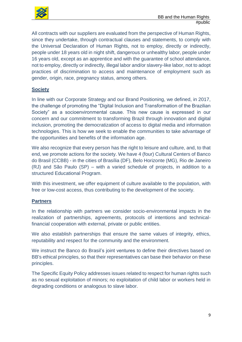

All contracts with our suppliers are evaluated from the perspective of Human Rights, since they undertake, through contractual clauses and statements, to comply with the Universal Declaration of Human Rights, not to employ, directly or indirectly, people under 18 years old in night shift, dangerous or unhealthy labor, people under 16 years old, except as an apprentice and with the guarantee of school attendance, not to employ, directly or indirectly, illegal labor and/or slavery-like labor, not to adopt practices of discrimination to access and maintenance of employment such as gender, origin, race, pregnancy status, among others.

## **Society**

In line with our Corporate Strategy and our Brand Positioning, we defined, in 2017, the challenge of promoting the "Digital Inclusion and Transformation of the Brazilian Society" as a socioenvironmental cause. This new cause is expressed in our concern and our commitment to transforming Brazil through innovation and digital inclusion, promoting the democratization of access to digital media and information technologies. This is how we seek to enable the communities to take advantage of the opportunities and benefits of the information age.

We also recognize that every person has the right to leisure and culture, and, to that end, we promote actions for the society. We have 4 (four) Cultural Centers of Banco do Brasil (CCBB) - in the cities of Brasília (DF), Belo Horizonte (MG), Rio de Janeiro (RJ) and São Paulo (SP) – with a varied schedule of projects, in addition to a structured Educational Program.

With this investment, we offer equipment of culture available to the population, with free or low-cost access, thus contributing to the development of the society.

#### **Partners**

In the relationship with partners we consider socio-environmental impacts in the realization of partnerships, agreements, protocols of intentions and technicalfinancial cooperation with external, private or public entities.

We also establish partnerships that ensure the same values of integrity, ethics, reputability and respect for the community and the environment.

We instruct the Banco do Brasil's joint ventures to define their directives based on BB's ethical principles, so that their representatives can base their behavior on these principles.

The Specific Equity Policy addresses issues related to respect for human rights such as no sexual exploitation of minors; no exploitation of child labor or workers held in degrading conditions or analogous to slave labor.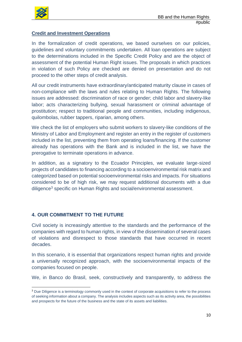

#### **Credit and Investment Operations**

In the formalization of credit operations, we based ourselves on our policies, guidelines and voluntary commitments undertaken. All loan operations are subject to the determinations included in the Specific Credit Policy and are the object of assessment of the potential Human Right issues. The proposals in which practices in violation of such Policy are checked are denied on presentation and do not proceed to the other steps of credit analysis.

All our credit instruments have extraordinary/anticipated maturity clause in cases of non-compliance with the laws and rules relating to Human Rights. The following issues are addressed: discrimination of race or gender; child labor and slavery-like labor; acts characterizing bullying, sexual harassment or criminal advantage of prostitution; respect to traditional people and communities, including indigenous, quilombolas, rubber tappers, riparian, among others.

We check the list of employers who submit workers to slavery-like conditions of the Ministry of Labor and Employment and register an entry in the register of customers included in the list, preventing them from operating loans/financing. If the customer already has operations with the Bank and is included in the list, we have the prerogative to terminate operations in advance.

In addition, as a signatory to the Ecuador Principles, we evaluate large-sized projects of candidates to financing according to a socioenvironmental risk matrix and categorized based on potential socioenvironmental risks and impacts. For situations considered to be of high risk, we may request additional documents with a due diligence<sup>3</sup> specific on Human Rights and social/environmental assessment.

#### **4. OUR COMMITMENT TO THE FUTURE**

Civil society is increasingly attentive to the standards and the performance of the companies with regard to human rights, in view of the dissemination of several cases of violations and disrespect to those standards that have occurred in recent decades.

In this scenario, it is essential that organizations respect human rights and provide a universally recognized approach, with the socioenvironmental impacts of the companies focused on people.

We, in Banco do Brasil, seek, constructively and transparently, to address the

 $\overline{a}$ <sup>3</sup> Due Diligence is a terminology commonly used in the context of corporate acquisitions to refer to the process of seeking information about a company. The analysis includes aspects such as its activity area, the possibilities and prospects for the future of the business and the state of its assets and liabilities.